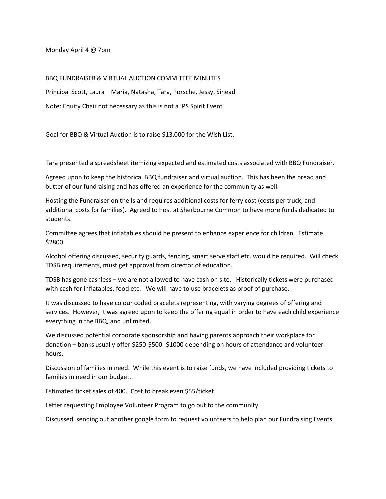Monday April 4 @ 7pm

## BBQ FUNDRAISER & VIRTUAL AUCTION COMMITTEE MINUTES

Principal Scott, Laura – Maria, Natasha, Tara, Porsche, Jessy, Sinead Note: Equity Chair not necessary as this is not a IPS Spirit Event

Goal for BBQ & Virtual Auction is to raise \$13,000 for the Wish List.

Tara presented a spreadsheet itemizing expected and estimated costs associated with BBQ Fundraiser.

Agreed upon to keep the historical BBQ fundraiser and virtual auction. This has been the bread and butter of our fundraising and has offered an experience for the community as well.

Hosting the Fundraiser on the Island requires additional costs for ferry cost (costs per truck, and additional costs for families). Agreed to host at Sherbourne Common to have more funds dedicated to students.

Committee agrees that inflatables should be present to enhance experience for children. Estimate \$2800.

Alcohol offering discussed, security guards, fencing, smart serve staff etc. would be required. Will check TDSB requirements, must get approval from director of education.

TDSB has gone cashless – we are not allowed to have cash on site. Historically tickets were purchased with cash for inflatables, food etc. We will have to use bracelets as proof of purchase.

It was discussed to have colour coded bracelets representing, with varying degrees of offering and services. However, it was agreed upon to keep the offering equal in order to have each child experience everything in the BBQ, and unlimited.

We discussed potential corporate sponsorship and having parents approach their workplace for donation – banks usually offer \$250-\$500 -\$1000 depending on hours of attendance and volunteer hours.

Discussion of families in need. While this event is to raise funds, we have included providing tickets to families in need in our budget.

Estimated ticket sales of 400. Cost to break even \$55/ticket

Letter requesting Employee Volunteer Program to go out to the community.

Discussed sending out another google form to request volunteers to help plan our Fundraising Events.